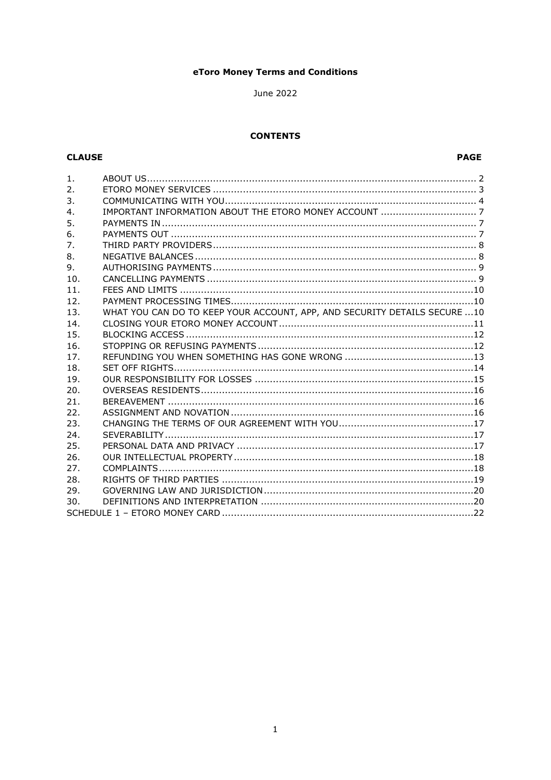## eToro Money Terms and Conditions

June 2022

### **CONTENTS**

## **CLAUSE**

| $\mathbf{1}$ . |                                                                            |
|----------------|----------------------------------------------------------------------------|
| 2.             |                                                                            |
| 3.             |                                                                            |
| 4.             |                                                                            |
| 5.             |                                                                            |
| 6.             |                                                                            |
| 7.             |                                                                            |
| 8.             |                                                                            |
| 9.             |                                                                            |
| 10.            |                                                                            |
| 11.            |                                                                            |
| 12.            |                                                                            |
| 13.            | WHAT YOU CAN DO TO KEEP YOUR ACCOUNT, APP, AND SECURITY DETAILS SECURE  10 |
| 14.            |                                                                            |
| 15.            |                                                                            |
| 16.            |                                                                            |
| 17.            |                                                                            |
| 18.            |                                                                            |
| 19.            |                                                                            |
| 20.            |                                                                            |
| 21.            |                                                                            |
| 22.            |                                                                            |
| 23.            |                                                                            |
| 24.            |                                                                            |
| 25.            |                                                                            |
| 26.            |                                                                            |
| 27.            |                                                                            |
| 28.            |                                                                            |
| 29.            |                                                                            |
| 30.            |                                                                            |
|                |                                                                            |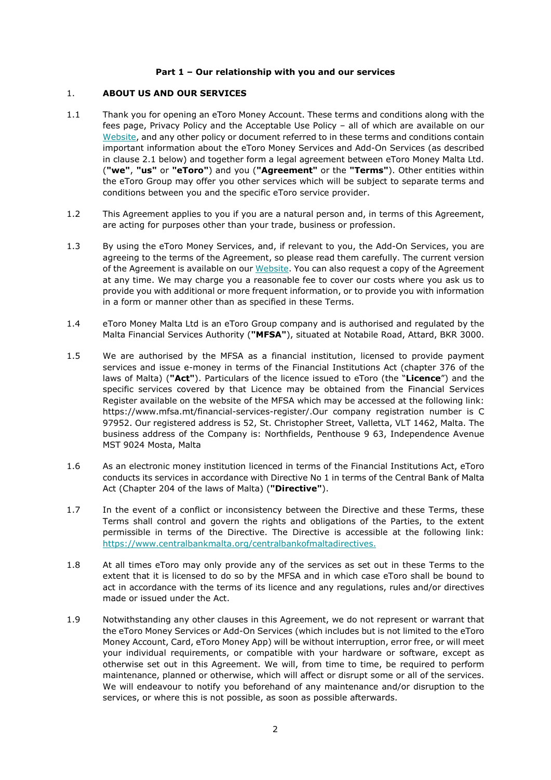### **Part 1 – Our relationship with you and our services**

### <span id="page-1-0"></span>1. **ABOUT US AND OUR SERVICES**

- <span id="page-1-1"></span>1.1 Thank you for opening an eToro Money Account. These terms and conditions along with the fees page, Privacy Policy and the Acceptable Use Policy – all of which are available on our [Website,](https://www.etoro.com/money/) and any other policy or document referred to in these terms and conditions contain important information about the eToro Money Services and Add-On Services (as described in clause [2.1](#page-2-1) below) and together form a legal agreement between eToro Money Malta Ltd. (**"we"**, **"us"** or **"eToro"**) and you (**"Agreement"** or the **"Terms"**). Other entities within the eToro Group may offer you other services which will be subject to separate terms and conditions between you and the specific eToro service provider.
- 1.2 This Agreement applies to you if you are a natural person and, in terms of this Agreement, are acting for purposes other than your trade, business or profession.
- 1.3 By using the eToro Money Services, and, if relevant to you, the Add-On Services, you are agreeing to the terms of the Agreement, so please read them carefully. The current version of the Agreement is available on our [Website.](https://www.etoro.com/money/) You can also request a copy of the Agreement at any time. We may charge you a reasonable fee to cover our costs where you ask us to provide you with additional or more frequent information, or to provide you with information in a form or manner other than as specified in these Terms.
- 1.4 eToro Money Malta Ltd is an eToro Group company and is authorised and regulated by the Malta Financial Services Authority (**"MFSA"**), situated at Notabile Road, Attard, BKR 3000.
- 1.5 We are authorised by the MFSA as a financial institution, licensed to provide payment services and issue e-money in terms of the Financial Institutions Act (chapter 376 of the laws of Malta) (**"Act"**). Particulars of the licence issued to eToro (the "**Licence**") and the specific services covered by that Licence may be obtained from the Financial Services Register available on the website of the MFSA which may be accessed at the following link: https://www.mfsa.mt/financial-services-register/.Our company registration number is C 97952. Our registered address is 52, St. Christopher Street, Valletta, VLT 1462, Malta. The business address of the Company is: Northfields, Penthouse 9 63, Independence Avenue MST 9024 Mosta, Malta
- 1.6 As an electronic money institution licenced in terms of the Financial Institutions Act, eToro conducts its services in accordance with Directive No 1 in terms of the Central Bank of Malta Act (Chapter 204 of the laws of Malta) (**"Directive"**).
- 1.7 In the event of a conflict or inconsistency between the Directive and these Terms, these Terms shall control and govern the rights and obligations of the Parties, to the extent permissible in terms of the Directive. The Directive is accessible at the following link: [https://www.centralbankmalta.org/centralbankofmaltadirectives.](https://www.centralbankmalta.org/centralbankofmaltadirectives)
- 1.8 At all times eToro may only provide any of the services as set out in these Terms to the extent that it is licensed to do so by the MFSA and in which case eToro shall be bound to act in accordance with the terms of its licence and any regulations, rules and/or directives made or issued under the Act.
- 1.9 Notwithstanding any other clauses in this Agreement, we do not represent or warrant that the eToro Money Services or Add-On Services (which includes but is not limited to the eToro Money Account, Card, eToro Money App) will be without interruption, error free, or will meet your individual requirements, or compatible with your hardware or software, except as otherwise set out in this Agreement. We will, from time to time, be required to perform maintenance, planned or otherwise, which will affect or disrupt some or all of the services. We will endeavour to notify you beforehand of any maintenance and/or disruption to the services, or where this is not possible, as soon as possible afterwards.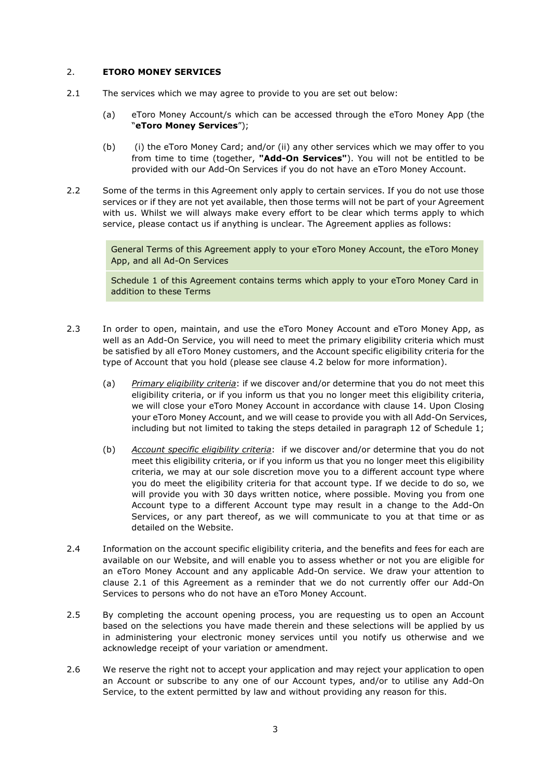### <span id="page-2-0"></span>2. **ETORO MONEY SERVICES**

- <span id="page-2-1"></span>2.1 The services which we may agree to provide to you are set out below:
	- (a) eToro Money Account/s which can be accessed through the eToro Money App (the "**eToro Money Services**");
	- (b) (i) the eToro Money Card; and/or (ii) any other services which we may offer to you from time to time (together, **"Add-On Services"**). You will not be entitled to be provided with our Add-On Services if you do not have an eToro Money Account.
- <span id="page-2-3"></span>2.2 Some of the terms in this Agreement only apply to certain services. If you do not use those services or if they are not yet available, then those terms will not be part of your Agreement with us. Whilst we will always make every effort to be clear which terms apply to which service, please contact us if anything is unclear. The Agreement applies as follows:

General Terms of this Agreement apply to your eToro Money Account, the eToro Money App, and all Ad-On Services

Schedule 1 of this Agreement contains terms which apply to your eToro Money Card in addition to these Terms

- <span id="page-2-2"></span>2.3 In order to open, maintain, and use the eToro Money Account and eToro Money App, as well as an Add-On Service, you will need to meet the primary eligibility criteria which must be satisfied by all eToro Money customers, and the Account specific eligibility criteria for the type of Account that you hold (please see clause [4.2](#page-6-3) below for more information).
	- (a) *Primary eligibility criteria*: if we discover and/or determine that you do not meet this eligibility criteria, or if you inform us that you no longer meet this eligibility criteria, we will close your eToro Money Account in accordance with clause [14.](#page-10-0) Upon [Closing](#page-10-0)  [your eToro Money Account,](#page-10-0) and we will cease to provide you with all Add-On Services, including but not limited to taking the steps detailed in paragraph [12](#page-25-0) of Schedule 1;
	- (b) *Account specific eligibility criteria*: if we discover and/or determine that you do not meet this eligibility criteria, or if you inform us that you no longer meet this eligibility criteria, we may at our sole discretion move you to a different account type where you do meet the eligibility criteria for that account type. If we decide to do so, we will provide you with 30 days written notice, where possible. Moving you from one Account type to a different Account type may result in a change to the Add-On Services, or any part thereof, as we will communicate to you at that time or as detailed on the Website.
- 2.4 Information on the account specific eligibility criteria, and the benefits and fees for each are available on our Website, and will enable you to assess whether or not you are eligible for an eToro Money Account and any applicable Add-On service. We draw your attention to clause 2.1 of this Agreement as a reminder that we do not currently offer our Add-On Services to persons who do not have an eToro Money Account.
- 2.5 By completing the account opening process, you are requesting us to open an Account based on the selections you have made therein and these selections will be applied by us in administering your electronic money services until you notify us otherwise and we acknowledge receipt of your variation or amendment.
- 2.6 We reserve the right not to accept your application and may reject your application to open an Account or subscribe to any one of our Account types, and/or to utilise any Add-On Service, to the extent permitted by law and without providing any reason for this.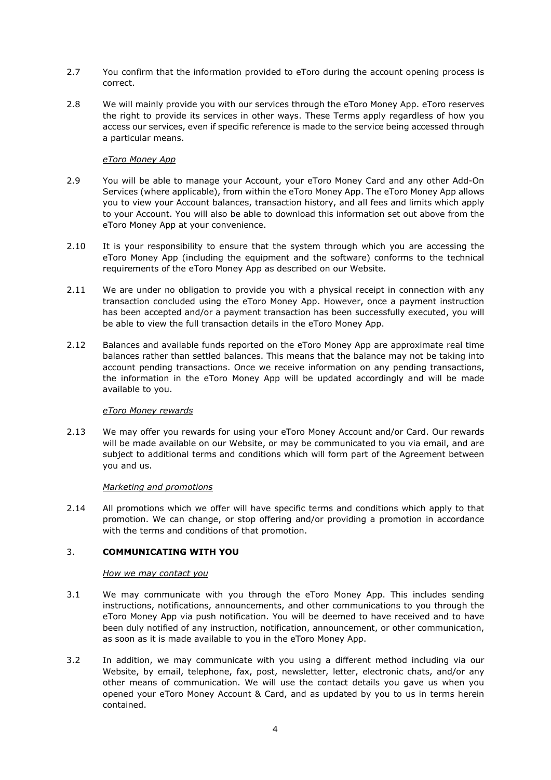- 2.7 You confirm that the information provided to eToro during the account opening process is correct.
- 2.8 We will mainly provide you with our services through the eToro Money App. eToro reserves the right to provide its services in other ways. These Terms apply regardless of how you access our services, even if specific reference is made to the service being accessed through a particular means.

### *eToro Money App*

- 2.9 You will be able to manage your Account, your eToro Money Card and any other Add-On Services (where applicable), from within the eToro Money App. The eToro Money App allows you to view your Account balances, transaction history, and all fees and limits which apply to your Account. You will also be able to download this information set out above from the eToro Money App at your convenience.
- 2.10 It is your responsibility to ensure that the system through which you are accessing the eToro Money App (including the equipment and the software) conforms to the technical requirements of the eToro Money App as described on our Website.
- 2.11 We are under no obligation to provide you with a physical receipt in connection with any transaction concluded using the eToro Money App. However, once a payment instruction has been accepted and/or a payment transaction has been successfully executed, you will be able to view the full transaction details in the eToro Money App.
- 2.12 Balances and available funds reported on the eToro Money App are approximate real time balances rather than settled balances. This means that the balance may not be taking into account pending transactions. Once we receive information on any pending transactions, the information in the eToro Money App will be updated accordingly and will be made available to you.

### *eToro Money rewards*

2.13 We may offer you rewards for using your eToro Money Account and/or Card. Our rewards will be made available on our Website, or may be communicated to you via email, and are subject to additional terms and conditions which will form part of the Agreement between you and us.

### *Marketing and promotions*

2.14 All promotions which we offer will have specific terms and conditions which apply to that promotion. We can change, or stop offering and/or providing a promotion in accordance with the terms and conditions of that promotion.

## <span id="page-3-0"></span>3. **COMMUNICATING WITH YOU**

### *How we may contact you*

- 3.1 We may communicate with you through the eToro Money App. This includes sending instructions, notifications, announcements, and other communications to you through the eToro Money App via push notification. You will be deemed to have received and to have been duly notified of any instruction, notification, announcement, or other communication, as soon as it is made available to you in the eToro Money App.
- 3.2 In addition, we may communicate with you using a different method including via our Website, by email, telephone, fax, post, newsletter, letter, electronic chats, and/or any other means of communication. We will use the contact details you gave us when you opened your eToro Money Account & Card, and as updated by you to us in terms herein contained.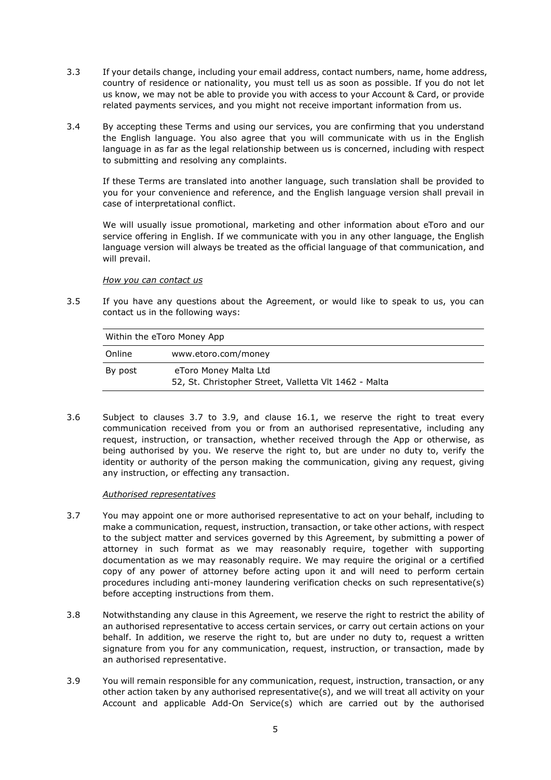- 3.3 If your details change, including your email address, contact numbers, name, home address, country of residence or nationality, you must tell us as soon as possible. If you do not let us know, we may not be able to provide you with access to your Account & Card, or provide related payments services, and you might not receive important information from us.
- 3.4 By accepting these Terms and using our services, you are confirming that you understand the English language. You also agree that you will communicate with us in the English language in as far as the legal relationship between us is concerned, including with respect to submitting and resolving any complaints.

If these Terms are translated into another language, such translation shall be provided to you for your convenience and reference, and the English language version shall prevail in case of interpretational conflict.

We will usually issue promotional, marketing and other information about eToro and our service offering in English. If we communicate with you in any other language, the English language version will always be treated as the official language of that communication, and will prevail.

### *How you can contact us*

<span id="page-4-2"></span>3.5 If you have any questions about the Agreement, or would like to speak to us, you can contact us in the following ways:

| Within the eToro Money App |                                                                                |  |  |  |
|----------------------------|--------------------------------------------------------------------------------|--|--|--|
| Online                     | www.etoro.com/money                                                            |  |  |  |
| By post                    | eToro Money Malta Ltd<br>52, St. Christopher Street, Valletta Vlt 1462 - Malta |  |  |  |

3.6 Subject to clauses [3.7](#page-4-0) to [3.9,](#page-4-1) and clause [16.1,](#page-11-2) we reserve the right to treat every communication received from you or from an authorised representative, including any request, instruction, or transaction, whether received through the App or otherwise, as being authorised by you. We reserve the right to, but are under no duty to, verify the identity or authority of the person making the communication, giving any request, giving any instruction, or effecting any transaction.

### *Authorised representatives*

- <span id="page-4-0"></span>3.7 You may appoint one or more authorised representative to act on your behalf, including to make a communication, request, instruction, transaction, or take other actions, with respect to the subject matter and services governed by this Agreement, by submitting a power of attorney in such format as we may reasonably require, together with supporting documentation as we may reasonably require. We may require the original or a certified copy of any power of attorney before acting upon it and will need to perform certain procedures including anti-money laundering verification checks on such representative(s) before accepting instructions from them.
- 3.8 Notwithstanding any clause in this Agreement, we reserve the right to restrict the ability of an authorised representative to access certain services, or carry out certain actions on your behalf. In addition, we reserve the right to, but are under no duty to, request a written signature from you for any communication, request, instruction, or transaction, made by an authorised representative.
- <span id="page-4-1"></span>3.9 You will remain responsible for any communication, request, instruction, transaction, or any other action taken by any authorised representative(s), and we will treat all activity on your Account and applicable Add-On Service(s) which are carried out by the authorised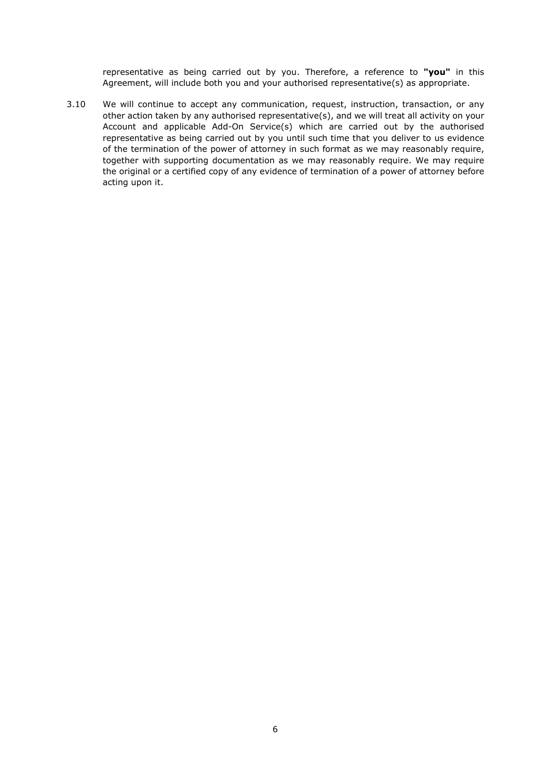representative as being carried out by you. Therefore, a reference to **"you"** in this Agreement, will include both you and your authorised representative(s) as appropriate.

3.10 We will continue to accept any communication, request, instruction, transaction, or any other action taken by any authorised representative(s), and we will treat all activity on your Account and applicable Add-On Service(s) which are carried out by the authorised representative as being carried out by you until such time that you deliver to us evidence of the termination of the power of attorney in such format as we may reasonably require, together with supporting documentation as we may reasonably require. We may require the original or a certified copy of any evidence of termination of a power of attorney before acting upon it.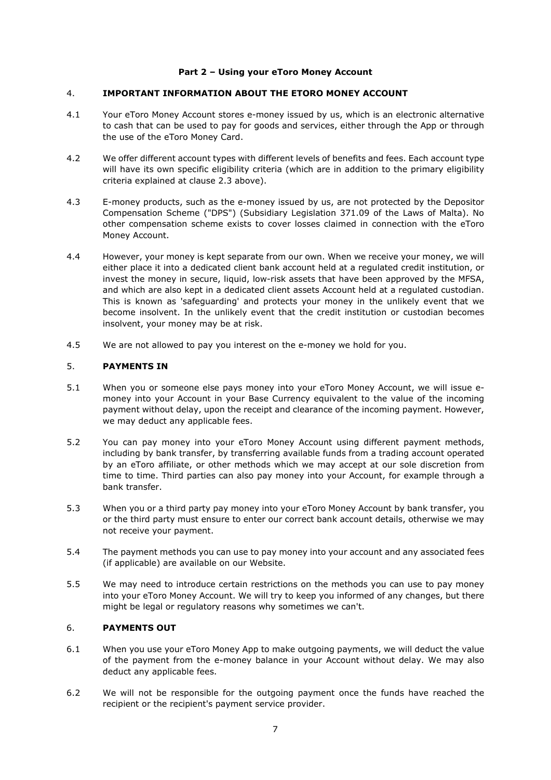### **Part 2 – Using your eToro Money Account**

### <span id="page-6-0"></span>4. **IMPORTANT INFORMATION ABOUT THE ETORO MONEY ACCOUNT**

- 4.1 Your eToro Money Account stores e-money issued by us, which is an electronic alternative to cash that can be used to pay for goods and services, either through the App or through the use of the eToro Money Card.
- <span id="page-6-3"></span>4.2 We offer different account types with different levels of benefits and fees. Each account type will have its own specific eligibility criteria (which are in addition to the primary eligibility criteria explained at clause [2.3](#page-2-2) above).
- 4.3 E-money products, such as the e-money issued by us, are not protected by the Depositor Compensation Scheme ("DPS") (Subsidiary Legislation 371.09 of the Laws of Malta). No other compensation scheme exists to cover losses claimed in connection with the eToro Money Account.
- 4.4 However, your money is kept separate from our own. When we receive your money, we will either place it into a dedicated client bank account held at a regulated credit institution, or invest the money in secure, liquid, low-risk assets that have been approved by the MFSA, and which are also kept in a dedicated client assets Account held at a regulated custodian. This is known as 'safeguarding' and protects your money in the unlikely event that we become insolvent. In the unlikely event that the credit institution or custodian becomes insolvent, your money may be at risk.
- 4.5 We are not allowed to pay you interest on the e-money we hold for you.

### <span id="page-6-1"></span>5. **PAYMENTS IN**

- 5.1 When you or someone else pays money into your eToro Money Account, we will issue emoney into your Account in your Base Currency equivalent to the value of the incoming payment without delay, upon the receipt and clearance of the incoming payment. However, we may deduct any applicable fees.
- 5.2 You can pay money into your eToro Money Account using different payment methods, including by bank transfer, by transferring available funds from a trading account operated by an eToro affiliate, or other methods which we may accept at our sole discretion from time to time. Third parties can also pay money into your Account, for example through a bank transfer.
- 5.3 When you or a third party pay money into your eToro Money Account by bank transfer, you or the third party must ensure to enter our correct bank account details, otherwise we may not receive your payment.
- 5.4 The payment methods you can use to pay money into your account and any associated fees (if applicable) are available on our Website.
- 5.5 We may need to introduce certain restrictions on the methods you can use to pay money into your eToro Money Account. We will try to keep you informed of any changes, but there might be legal or regulatory reasons why sometimes we can't.

# <span id="page-6-2"></span>6. **PAYMENTS OUT**

- 6.1 When you use your eToro Money App to make outgoing payments, we will deduct the value of the payment from the e-money balance in your Account without delay. We may also deduct any applicable fees.
- 6.2 We will not be responsible for the outgoing payment once the funds have reached the recipient or the recipient's payment service provider.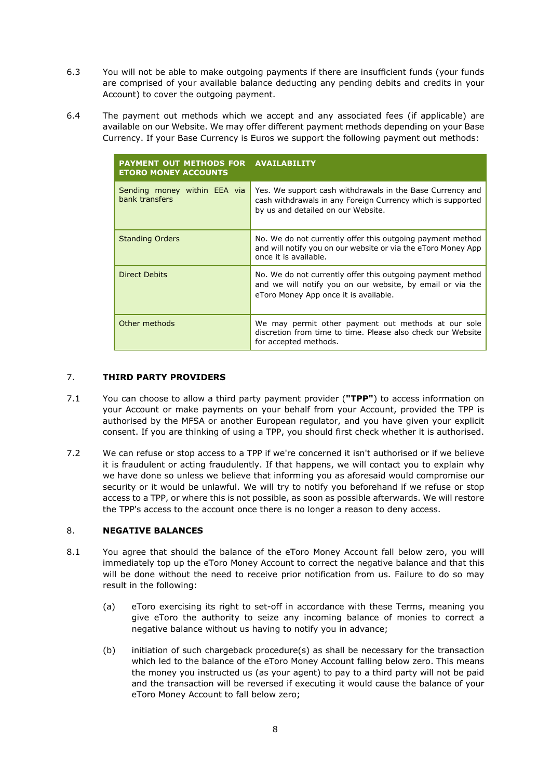- 6.3 You will not be able to make outgoing payments if there are insufficient funds (your funds are comprised of your available balance deducting any pending debits and credits in your Account) to cover the outgoing payment.
- 6.4 The payment out methods which we accept and any associated fees (if applicable) are available on our Website. We may offer different payment methods depending on your Base Currency. If your Base Currency is Euros we support the following payment out methods:

| PAYMENT OUT METHODS FOR AVAILABILITY<br><b>ETORO MONEY ACCOUNTS</b> |                                                                                                                                                                   |
|---------------------------------------------------------------------|-------------------------------------------------------------------------------------------------------------------------------------------------------------------|
| Sending money within EEA via<br>bank transfers                      | Yes. We support cash withdrawals in the Base Currency and<br>cash withdrawals in any Foreign Currency which is supported<br>by us and detailed on our Website.    |
| <b>Standing Orders</b>                                              | No. We do not currently offer this outgoing payment method<br>and will notify you on our website or via the eToro Money App<br>once it is available.              |
| Direct Debits                                                       | No. We do not currently offer this outgoing payment method<br>and we will notify you on our website, by email or via the<br>eToro Money App once it is available. |
| Other methods                                                       | We may permit other payment out methods at our sole<br>discretion from time to time. Please also check our Website<br>for accepted methods.                       |

## <span id="page-7-0"></span>7. **THIRD PARTY PROVIDERS**

- <span id="page-7-2"></span>7.1 You can choose to allow a third party payment provider (**"TPP"**) to access information on your Account or make payments on your behalf from your Account, provided the TPP is authorised by the MFSA or another European regulator, and you have given your explicit consent. If you are thinking of using a TPP, you should first check whether it is authorised.
- 7.2 We can refuse or stop access to a TPP if we're concerned it isn't authorised or if we believe it is fraudulent or acting fraudulently. If that happens, we will contact you to explain why we have done so unless we believe that informing you as aforesaid would compromise our security or it would be unlawful. We will try to notify you beforehand if we refuse or stop access to a TPP, or where this is not possible, as soon as possible afterwards. We will restore the TPP's access to the account once there is no longer a reason to deny access.

### <span id="page-7-1"></span>8. **NEGATIVE BALANCES**

- 8.1 You agree that should the balance of the eToro Money Account fall below zero, you will immediately top up the eToro Money Account to correct the negative balance and that this will be done without the need to receive prior notification from us. Failure to do so may result in the following:
	- (a) eToro exercising its right to set-off in accordance with these Terms, meaning you give eToro the authority to seize any incoming balance of monies to correct a negative balance without us having to notify you in advance;
	- (b) initiation of such chargeback procedure(s) as shall be necessary for the transaction which led to the balance of the eToro Money Account falling below zero. This means the money you instructed us (as your agent) to pay to a third party will not be paid and the transaction will be reversed if executing it would cause the balance of your eToro Money Account to fall below zero;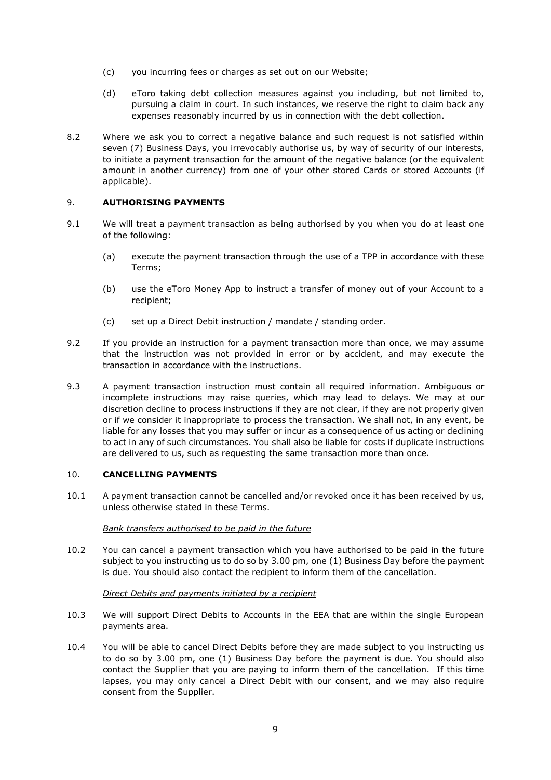- (c) you incurring fees or charges as set out on our Website;
- (d) eToro taking debt collection measures against you including, but not limited to, pursuing a claim in court. In such instances, we reserve the right to claim back any expenses reasonably incurred by us in connection with the debt collection.
- 8.2 Where we ask you to correct a negative balance and such request is not satisfied within seven (7) Business Days, you irrevocably authorise us, by way of security of our interests, to initiate a payment transaction for the amount of the negative balance (or the equivalent amount in another currency) from one of your other stored Cards or stored Accounts (if applicable).

## <span id="page-8-0"></span>9. **AUTHORISING PAYMENTS**

- 9.1 We will treat a payment transaction as being authorised by you when you do at least one of the following:
	- (a) execute the payment transaction through the use of a TPP in accordance with these Terms;
	- (b) use the eToro Money App to instruct a transfer of money out of your Account to a recipient;
	- (c) set up a Direct Debit instruction / mandate / standing order.
- 9.2 If you provide an instruction for a payment transaction more than once, we may assume that the instruction was not provided in error or by accident, and may execute the transaction in accordance with the instructions.
- 9.3 A payment transaction instruction must contain all required information. Ambiguous or incomplete instructions may raise queries, which may lead to delays. We may at our discretion decline to process instructions if they are not clear, if they are not properly given or if we consider it inappropriate to process the transaction. We shall not, in any event, be liable for any losses that you may suffer or incur as a consequence of us acting or declining to act in any of such circumstances. You shall also be liable for costs if duplicate instructions are delivered to us, such as requesting the same transaction more than once.

### <span id="page-8-1"></span>10. **CANCELLING PAYMENTS**

10.1 A payment transaction cannot be cancelled and/or revoked once it has been received by us, unless otherwise stated in these Terms.

### *Bank transfers authorised to be paid in the future*

10.2 You can cancel a payment transaction which you have authorised to be paid in the future subject to you instructing us to do so by 3.00 pm, one (1) Business Day before the payment is due. You should also contact the recipient to inform them of the cancellation.

### *Direct Debits and payments initiated by a recipient*

- 10.3 We will support Direct Debits to Accounts in the EEA that are within the single European payments area.
- 10.4 You will be able to cancel Direct Debits before they are made subject to you instructing us to do so by 3.00 pm, one (1) Business Day before the payment is due. You should also contact the Supplier that you are paying to inform them of the cancellation. If this time lapses, you may only cancel a Direct Debit with our consent, and we may also require consent from the Supplier.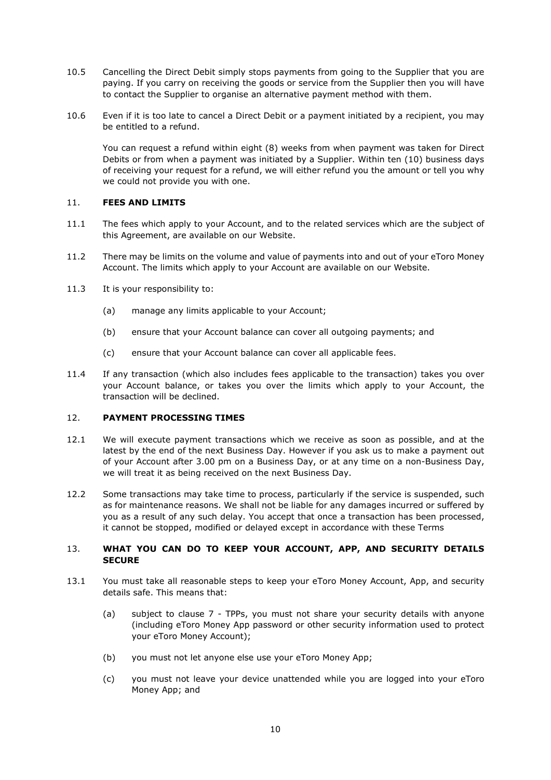- 10.5 Cancelling the Direct Debit simply stops payments from going to the Supplier that you are paying. If you carry on receiving the goods or service from the Supplier then you will have to contact the Supplier to organise an alternative payment method with them.
- 10.6 Even if it is too late to cancel a Direct Debit or a payment initiated by a recipient, you may be entitled to a refund.

You can request a refund within eight (8) weeks from when payment was taken for Direct Debits or from when a payment was initiated by a Supplier. Within ten (10) business days of receiving your request for a refund, we will either refund you the amount or tell you why we could not provide you with one.

### <span id="page-9-0"></span>11. **FEES AND LIMITS**

- 11.1 The fees which apply to your Account, and to the related services which are the subject of this Agreement, are available on our Website.
- 11.2 There may be limits on the volume and value of payments into and out of your eToro Money Account. The limits which apply to your Account are available on our Website.
- 11.3 It is your responsibility to:
	- (a) manage any limits applicable to your Account;
	- (b) ensure that your Account balance can cover all outgoing payments; and
	- (c) ensure that your Account balance can cover all applicable fees.
- 11.4 If any transaction (which also includes fees applicable to the transaction) takes you over your Account balance, or takes you over the limits which apply to your Account, the transaction will be declined.

## <span id="page-9-1"></span>12. **PAYMENT PROCESSING TIMES**

- 12.1 We will execute payment transactions which we receive as soon as possible, and at the latest by the end of the next Business Day. However if you ask us to make a payment out of your Account after 3.00 pm on a Business Day, or at any time on a non-Business Day, we will treat it as being received on the next Business Day.
- 12.2 Some transactions may take time to process, particularly if the service is suspended, such as for maintenance reasons. We shall not be liable for any damages incurred or suffered by you as a result of any such delay. You accept that once a transaction has been processed, it cannot be stopped, modified or delayed except in accordance with these Terms

## <span id="page-9-2"></span>13. **WHAT YOU CAN DO TO KEEP YOUR ACCOUNT, APP, AND SECURITY DETAILS SECURE**

- <span id="page-9-3"></span>13.1 You must take all reasonable steps to keep your eToro Money Account, App, and security details safe. This means that:
	- (a) subject to clause [7](#page-7-0) TPPs, you must not share your security details with anyone (including eToro Money App password or other security information used to protect your eToro Money Account);
	- (b) you must not let anyone else use your eToro Money App;
	- (c) you must not leave your device unattended while you are logged into your eToro Money App; and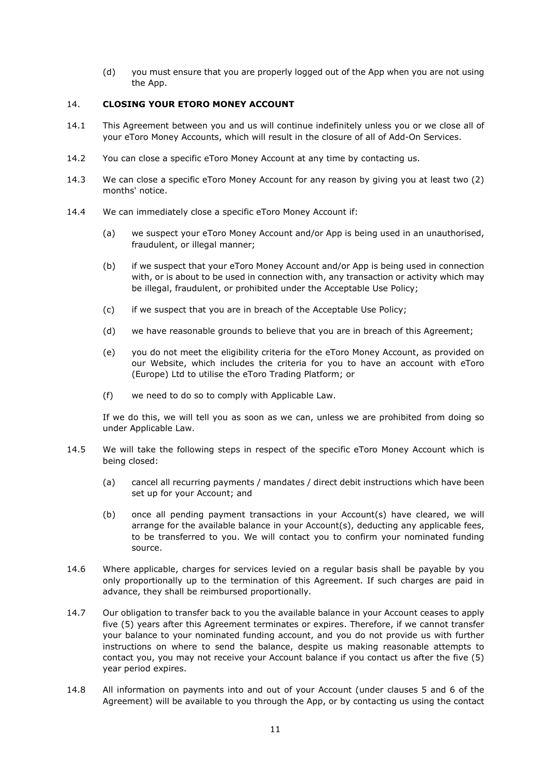(d) you must ensure that you are properly logged out of the App when you are not using the App.

### <span id="page-10-0"></span>14. **CLOSING YOUR ETORO MONEY ACCOUNT**

- 14.1 This Agreement between you and us will continue indefinitely unless you or we close all of your eToro Money Accounts, which will result in the closure of all of Add-On Services.
- 14.2 You can close a specific eToro Money Account at any time by contacting us.
- 14.3 We can close a specific eToro Money Account for any reason by giving you at least two (2) months' notice.
- 14.4 We can immediately close a specific eToro Money Account if:
	- (a) we suspect your eToro Money Account and/or App is being used in an unauthorised, fraudulent, or illegal manner;
	- (b) if we suspect that your eToro Money Account and/or App is being used in connection with, or is about to be used in connection with, any transaction or activity which may be illegal, fraudulent, or prohibited under the Acceptable Use Policy;
	- (c) if we suspect that you are in breach of the Acceptable Use Policy;
	- (d) we have reasonable grounds to believe that you are in breach of this Agreement;
	- (e) you do not meet the eligibility criteria for the eToro Money Account, as provided on our Website, which includes the criteria for you to have an account with eToro (Europe) Ltd to utilise the eToro Trading Platform; or
	- (f) we need to do so to comply with Applicable Law.

If we do this, we will tell you as soon as we can, unless we are prohibited from doing so under Applicable Law.

- 14.5 We will take the following steps in respect of the specific eToro Money Account which is being closed:
	- (a) cancel all recurring payments / mandates / direct debit instructions which have been set up for your Account; and
	- (b) once all pending payment transactions in your Account(s) have cleared, we will arrange for the available balance in your Account(s), deducting any applicable fees, to be transferred to you. We will contact you to confirm your nominated funding source.
- 14.6 Where applicable, charges for services levied on a regular basis shall be payable by you only proportionally up to the termination of this Agreement. If such charges are paid in advance, they shall be reimbursed proportionally.
- 14.7 Our obligation to transfer back to you the available balance in your Account ceases to apply five (5) years after this Agreement terminates or expires. Therefore, if we cannot transfer your balance to your nominated funding account, and you do not provide us with further instructions on where to send the balance, despite us making reasonable attempts to contact you, you may not receive your Account balance if you contact us after the five (5) year period expires.
- 14.8 All information on payments into and out of your Account (under clauses [5](#page-6-1) and [6](#page-6-2) of the Agreement) will be available to you through the App, or by contacting us using the contact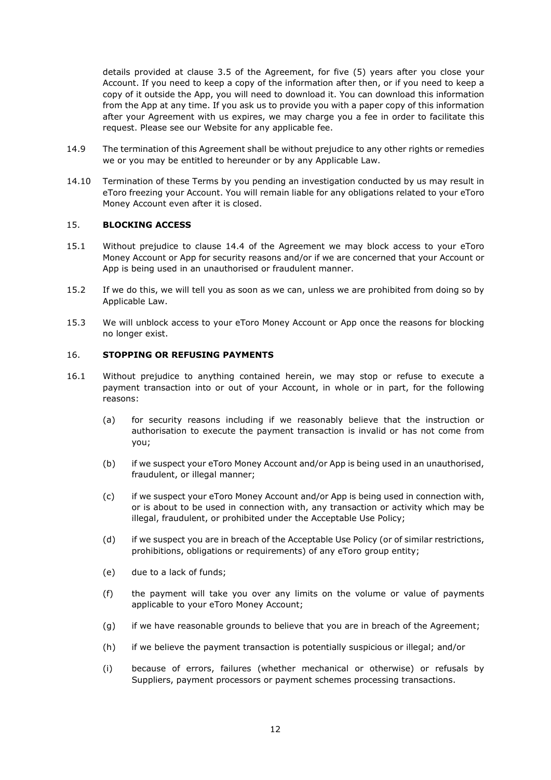details provided at clause [3.5](#page-4-2) of the Agreement, for five (5) years after you close your Account. If you need to keep a copy of the information after then, or if you need to keep a copy of it outside the App, you will need to download it. You can download this information from the App at any time. If you ask us to provide you with a paper copy of this information after your Agreement with us expires, we may charge you a fee in order to facilitate this request. Please see our Website for any applicable fee.

- 14.9 The termination of this Agreement shall be without prejudice to any other rights or remedies we or you may be entitled to hereunder or by any Applicable Law.
- 14.10 Termination of these Terms by you pending an investigation conducted by us may result in eToro freezing your Account. You will remain liable for any obligations related to your eToro Money Account even after it is closed.

### <span id="page-11-0"></span>15. **BLOCKING ACCESS**

- 15.1 Without prejudice to clause 14.4 of the Agreement we may block access to your eToro Money Account or App for security reasons and/or if we are concerned that your Account or App is being used in an unauthorised or fraudulent manner.
- 15.2 If we do this, we will tell you as soon as we can, unless we are prohibited from doing so by Applicable Law.
- 15.3 We will unblock access to your eToro Money Account or App once the reasons for blocking no longer exist.

## <span id="page-11-1"></span>16. **STOPPING OR REFUSING PAYMENTS**

- <span id="page-11-2"></span>16.1 Without prejudice to anything contained herein, we may stop or refuse to execute a payment transaction into or out of your Account, in whole or in part, for the following reasons:
	- (a) for security reasons including if we reasonably believe that the instruction or authorisation to execute the payment transaction is invalid or has not come from you;
	- (b) if we suspect your eToro Money Account and/or App is being used in an unauthorised, fraudulent, or illegal manner;
	- (c) if we suspect your eToro Money Account and/or App is being used in connection with, or is about to be used in connection with, any transaction or activity which may be illegal, fraudulent, or prohibited under the Acceptable Use Policy;
	- (d) if we suspect you are in breach of the Acceptable Use Policy (or of similar restrictions, prohibitions, obligations or requirements) of any eToro group entity;
	- (e) due to a lack of funds;
	- (f) the payment will take you over any limits on the volume or value of payments applicable to your eToro Money Account;
	- (g) if we have reasonable grounds to believe that you are in breach of the Agreement;
	- (h) if we believe the payment transaction is potentially suspicious or illegal; and/or
	- (i) because of errors, failures (whether mechanical or otherwise) or refusals by Suppliers, payment processors or payment schemes processing transactions.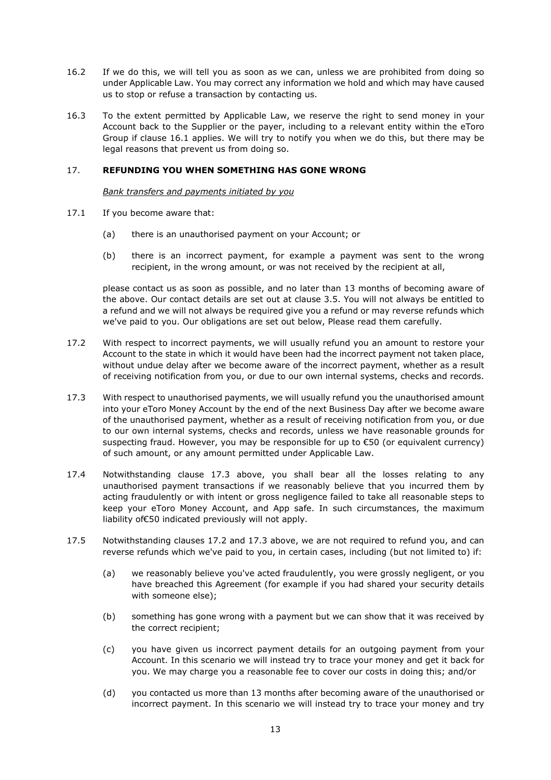- 16.2 If we do this, we will tell you as soon as we can, unless we are prohibited from doing so under Applicable Law. You may correct any information we hold and which may have caused us to stop or refuse a transaction by contacting us.
- 16.3 To the extent permitted by Applicable Law, we reserve the right to send money in your Account back to the Supplier or the payer, including to a relevant entity within the eToro Group if clause [16.1](#page-11-2) applies. We will try to notify you when we do this, but there may be legal reasons that prevent us from doing so.

### <span id="page-12-0"></span>17. **REFUNDING YOU WHEN SOMETHING HAS GONE WRONG**

*Bank transfers and payments initiated by you*

- 17.1 If you become aware that:
	- (a) there is an unauthorised payment on your Account; or
	- (b) there is an incorrect payment, for example a payment was sent to the wrong recipient, in the wrong amount, or was not received by the recipient at all,

please contact us as soon as possible, and no later than 13 months of becoming aware of the above. Our contact details are set out at clause [3.5.](#page-4-2) You will not always be entitled to a refund and we will not always be required give you a refund or may reverse refunds which we've paid to you. Our obligations are set out below, Please read them carefully.

- <span id="page-12-2"></span>17.2 With respect to incorrect payments, we will usually refund you an amount to restore your Account to the state in which it would have been had the incorrect payment not taken place, without undue delay after we become aware of the incorrect payment, whether as a result of receiving notification from you, or due to our own internal systems, checks and records.
- <span id="page-12-1"></span>17.3 With respect to unauthorised payments, we will usually refund you the unauthorised amount into your eToro Money Account by the end of the next Business Day after we become aware of the unauthorised payment, whether as a result of receiving notification from you, or due to our own internal systems, checks and records, unless we have reasonable grounds for suspecting fraud. However, you may be responsible for up to €50 (or equivalent currency) of such amount, or any amount permitted under Applicable Law.
- 17.4 Notwithstanding clause [17.3](#page-12-1) above, you shall bear all the losses relating to any unauthorised payment transactions if we reasonably believe that you incurred them by acting fraudulently or with intent or gross negligence failed to take all reasonable steps to keep your eToro Money Account, and App safe. In such circumstances, the maximum liability of€50 indicated previously will not apply.
- 17.5 Notwithstanding clauses [17.2](#page-12-2) and [17.3](#page-12-1) above, we are not required to refund you, and can reverse refunds which we've paid to you, in certain cases, including (but not limited to) if:
	- (a) we reasonably believe you've acted fraudulently, you were grossly negligent, or you have breached this Agreement (for example if you had shared your security details with someone else);
	- (b) something has gone wrong with a payment but we can show that it was received by the correct recipient;
	- (c) you have given us incorrect payment details for an outgoing payment from your Account. In this scenario we will instead try to trace your money and get it back for you. We may charge you a reasonable fee to cover our costs in doing this; and/or
	- (d) you contacted us more than 13 months after becoming aware of the unauthorised or incorrect payment. In this scenario we will instead try to trace your money and try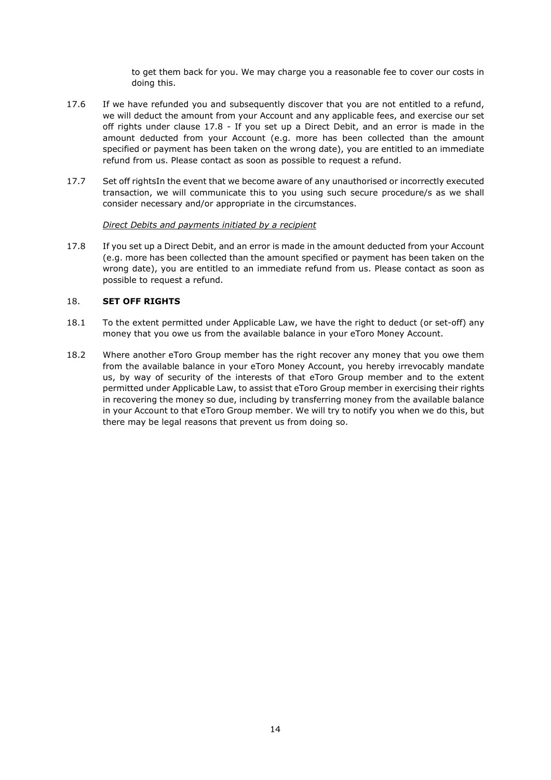to get them back for you. We may charge you a reasonable fee to cover our costs in doing this.

- 17.6 If we have refunded you and subsequently discover that you are not entitled to a refund, we will deduct the amount from your Account and any applicable fees, and exercise our set off rights under clause [17.8](#page-13-1) - [If you set up a Direct Debit, and an error is made in the](#page-13-1)  [amount deducted from your Account \(e.g. more has been collected than the amount](#page-13-1)  [specified or payment has been taken on the wrong date\), you are entitled to an immediate](#page-13-1)  [refund from us. Please contact as soon as possible to request a refund.](#page-13-1)
- 17.7 [Set off rightsI](#page-13-1)n the event that we become aware of any unauthorised or incorrectly executed transaction, we will communicate this to you using such secure procedure/s as we shall consider necessary and/or appropriate in the circumstances.

### *Direct Debits and payments initiated by a recipient*

<span id="page-13-1"></span>17.8 If you set up a Direct Debit, and an error is made in the amount deducted from your Account (e.g. more has been collected than the amount specified or payment has been taken on the wrong date), you are entitled to an immediate refund from us. Please contact as soon as possible to request a refund.

## <span id="page-13-0"></span>18. **SET OFF RIGHTS**

- 18.1 To the extent permitted under Applicable Law, we have the right to deduct (or set-off) any money that you owe us from the available balance in your eToro Money Account.
- 18.2 Where another eToro Group member has the right recover any money that you owe them from the available balance in your eToro Money Account, you hereby irrevocably mandate us, by way of security of the interests of that eToro Group member and to the extent permitted under Applicable Law, to assist that eToro Group member in exercising their rights in recovering the money so due, including by transferring money from the available balance in your Account to that eToro Group member. We will try to notify you when we do this, but there may be legal reasons that prevent us from doing so.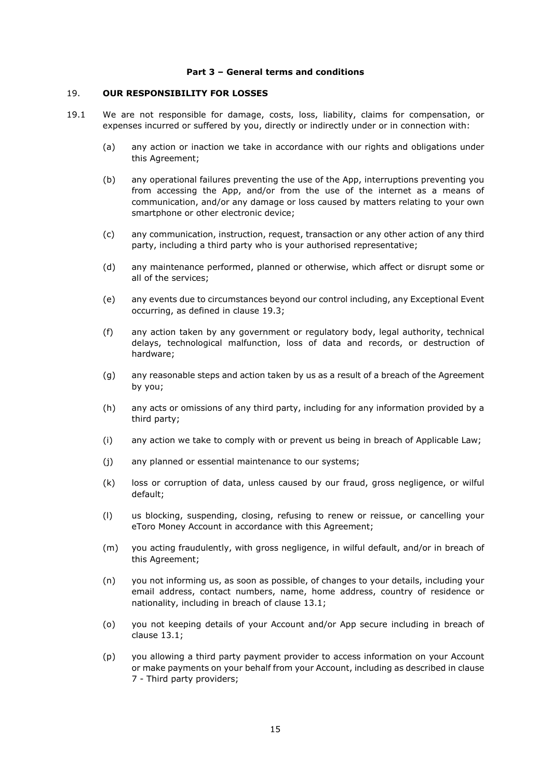#### **Part 3 – General terms and conditions**

#### <span id="page-14-0"></span>19. **OUR RESPONSIBILITY FOR LOSSES**

- 19.1 We are not responsible for damage, costs, loss, liability, claims for compensation, or expenses incurred or suffered by you, directly or indirectly under or in connection with:
	- (a) any action or inaction we take in accordance with our rights and obligations under this Agreement;
	- (b) any operational failures preventing the use of the App, interruptions preventing you from accessing the App, and/or from the use of the internet as a means of communication, and/or any damage or loss caused by matters relating to your own smartphone or other electronic device;
	- (c) any communication, instruction, request, transaction or any other action of any third party, including a third party who is your authorised representative;
	- (d) any maintenance performed, planned or otherwise, which affect or disrupt some or all of the services;
	- (e) any events due to circumstances beyond our control including, any Exceptional Event occurring, as defined in clause [19.3;](#page-15-3)
	- (f) any action taken by any government or regulatory body, legal authority, technical delays, technological malfunction, loss of data and records, or destruction of hardware;
	- (g) any reasonable steps and action taken by us as a result of a breach of the Agreement by you;
	- (h) any acts or omissions of any third party, including for any information provided by a third party;
	- (i) any action we take to comply with or prevent us being in breach of Applicable Law;
	- (j) any planned or essential maintenance to our systems;
	- (k) loss or corruption of data, unless caused by our fraud, gross negligence, or wilful default;
	- (l) us blocking, suspending, closing, refusing to renew or reissue, or cancelling your eToro Money Account in accordance with this Agreement;
	- (m) you acting fraudulently, with gross negligence, in wilful default, and/or in breach of this Agreement;
	- (n) you not informing us, as soon as possible, of changes to your details, including your email address, contact numbers, name, home address, country of residence or nationality, including in breach of clause [13.1;](#page-9-3)
	- (o) you not keeping details of your Account and/or App secure including in breach of clause [13.1;](#page-9-3)
	- (p) you allowing a third party payment provider to access information on your Account or make payments on your behalf from your Account, including as described in clause [7](#page-7-0) - [Third party providers;](#page-7-0)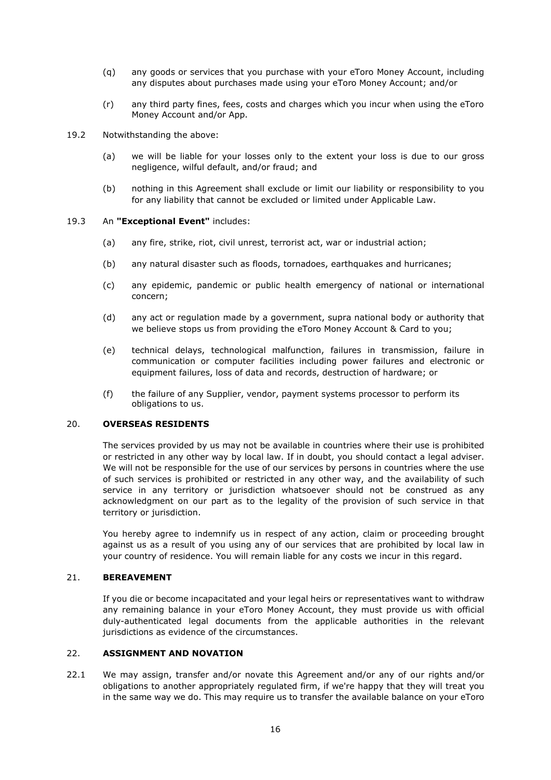- (q) any goods or services that you purchase with your eToro Money Account, including any disputes about purchases made using your eToro Money Account; and/or
- (r) any third party fines, fees, costs and charges which you incur when using the eToro Money Account and/or App.
- 19.2 Notwithstanding the above:
	- (a) we will be liable for your losses only to the extent your loss is due to our gross negligence, wilful default, and/or fraud; and
	- (b) nothing in this Agreement shall exclude or limit our liability or responsibility to you for any liability that cannot be excluded or limited under Applicable Law.

### <span id="page-15-3"></span>19.3 An **"Exceptional Event"** includes:

- (a) any fire, strike, riot, civil unrest, terrorist act, war or industrial action;
- (b) any natural disaster such as floods, tornadoes, earthquakes and hurricanes;
- (c) any epidemic, pandemic or public health emergency of national or international concern;
- (d) any act or regulation made by a government, supra national body or authority that we believe stops us from providing the eToro Money Account & Card to you;
- (e) technical delays, technological malfunction, failures in transmission, failure in communication or computer facilities including power failures and electronic or equipment failures, loss of data and records, destruction of hardware; or
- (f) the failure of any Supplier, vendor, payment systems processor to perform its obligations to us.

#### <span id="page-15-0"></span>20. **OVERSEAS RESIDENTS**

The services provided by us may not be available in countries where their use is prohibited or restricted in any other way by local law. If in doubt, you should contact a legal adviser. We will not be responsible for the use of our services by persons in countries where the use of such services is prohibited or restricted in any other way, and the availability of such service in any territory or jurisdiction whatsoever should not be construed as any acknowledgment on our part as to the legality of the provision of such service in that territory or jurisdiction.

You hereby agree to indemnify us in respect of any action, claim or proceeding brought against us as a result of you using any of our services that are prohibited by local law in your country of residence. You will remain liable for any costs we incur in this regard.

### <span id="page-15-1"></span>21. **BEREAVEMENT**

If you die or become incapacitated and your legal heirs or representatives want to withdraw any remaining balance in your eToro Money Account, they must provide us with official duly-authenticated legal documents from the applicable authorities in the relevant jurisdictions as evidence of the circumstances.

## <span id="page-15-2"></span>22. **ASSIGNMENT AND NOVATION**

22.1 We may assign, transfer and/or novate this Agreement and/or any of our rights and/or obligations to another appropriately regulated firm, if we're happy that they will treat you in the same way we do. This may require us to transfer the available balance on your eToro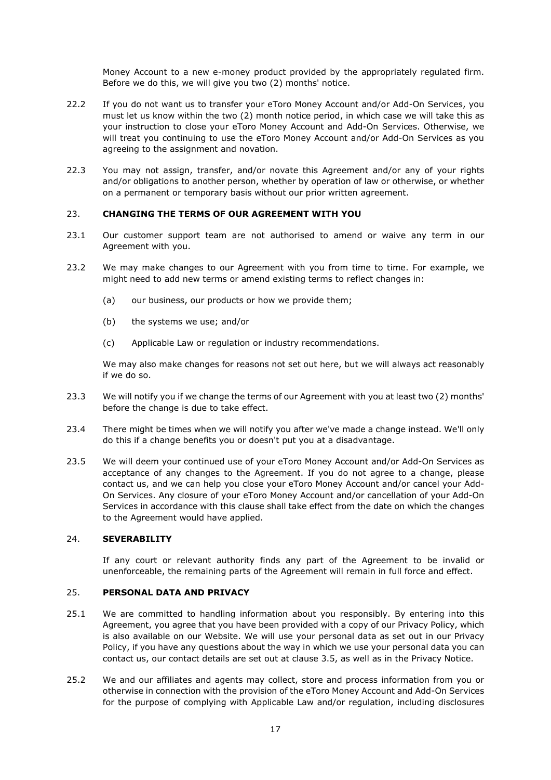Money Account to a new e-money product provided by the appropriately regulated firm. Before we do this, we will give you two (2) months' notice.

- 22.2 If you do not want us to transfer your eToro Money Account and/or Add-On Services, you must let us know within the two (2) month notice period, in which case we will take this as your instruction to close your eToro Money Account and Add-On Services. Otherwise, we will treat you continuing to use the eToro Money Account and/or Add-On Services as you agreeing to the assignment and novation.
- 22.3 You may not assign, transfer, and/or novate this Agreement and/or any of your rights and/or obligations to another person, whether by operation of law or otherwise, or whether on a permanent or temporary basis without our prior written agreement.

### <span id="page-16-0"></span>23. **CHANGING THE TERMS OF OUR AGREEMENT WITH YOU**

- 23.1 Our customer support team are not authorised to amend or waive any term in our Agreement with you.
- 23.2 We may make changes to our Agreement with you from time to time. For example, we might need to add new terms or amend existing terms to reflect changes in:
	- (a) our business, our products or how we provide them;
	- (b) the systems we use; and/or
	- (c) Applicable Law or regulation or industry recommendations.

We may also make changes for reasons not set out here, but we will always act reasonably if we do so.

- 23.3 We will notify you if we change the terms of our Agreement with you at least two (2) months' before the change is due to take effect.
- 23.4 There might be times when we will notify you after we've made a change instead. We'll only do this if a change benefits you or doesn't put you at a disadvantage.
- 23.5 We will deem your continued use of your eToro Money Account and/or Add-On Services as acceptance of any changes to the Agreement. If you do not agree to a change, please contact us, and we can help you close your eToro Money Account and/or cancel your Add-On Services. Any closure of your eToro Money Account and/or cancellation of your Add-On Services in accordance with this clause shall take effect from the date on which the changes to the Agreement would have applied.

### <span id="page-16-1"></span>24. **SEVERABILITY**

If any court or relevant authority finds any part of the Agreement to be invalid or unenforceable, the remaining parts of the Agreement will remain in full force and effect.

### <span id="page-16-2"></span>25. **PERSONAL DATA AND PRIVACY**

- 25.1 We are committed to handling information about you responsibly. By entering into this Agreement, you agree that you have been provided with a copy of our Privacy Policy, which is also available on our Website. We will use your personal data as set out in our Privacy Policy, if you have any questions about the way in which we use your personal data you can contact us, our contact details are set out at clause [3.5,](#page-4-2) as well as in the Privacy Notice.
- 25.2 We and our affiliates and agents may collect, store and process information from you or otherwise in connection with the provision of the eToro Money Account and Add-On Services for the purpose of complying with Applicable Law and/or regulation, including disclosures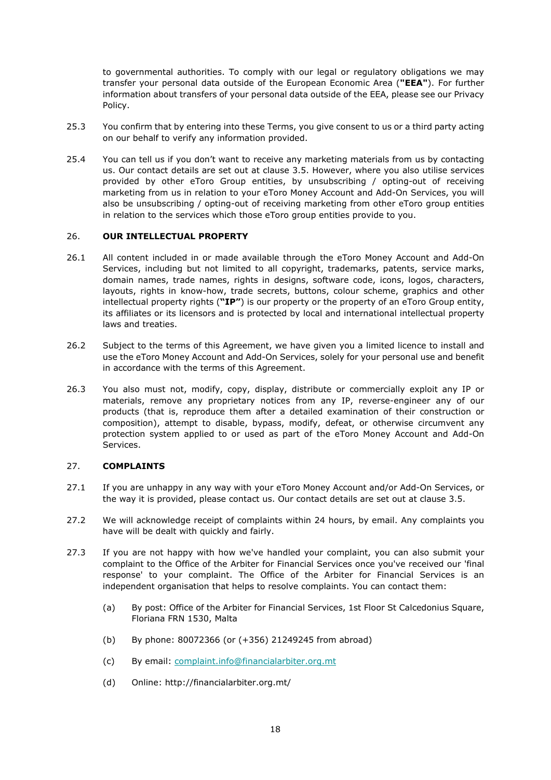to governmental authorities. To comply with our legal or regulatory obligations we may transfer your personal data outside of the European Economic Area (**"EEA"**). For further information about transfers of your personal data outside of the EEA, please see our Privacy Policy.

- 25.3 You confirm that by entering into these Terms, you give consent to us or a third party acting on our behalf to verify any information provided.
- 25.4 You can tell us if you don't want to receive any marketing materials from us by contacting us. Our contact details are set out at clause [3.5.](#page-4-2) However, where you also utilise services provided by other eToro Group entities, by unsubscribing / opting-out of receiving marketing from us in relation to your eToro Money Account and Add-On Services, you will also be unsubscribing / opting-out of receiving marketing from other eToro group entities in relation to the services which those eToro group entities provide to you.

### <span id="page-17-0"></span>26. **OUR INTELLECTUAL PROPERTY**

- 26.1 All content included in or made available through the eToro Money Account and Add-On Services, including but not limited to all copyright, trademarks, patents, service marks, domain names, trade names, rights in designs, software code, icons, logos, characters, layouts, rights in know-how, trade secrets, buttons, colour scheme, graphics and other intellectual property rights (**"IP"**) is our property or the property of an eToro Group entity, its affiliates or its licensors and is protected by local and international intellectual property laws and treaties.
- 26.2 Subject to the terms of this Agreement, we have given you a limited licence to install and use the eToro Money Account and Add-On Services, solely for your personal use and benefit in accordance with the terms of this Agreement.
- 26.3 You also must not, modify, copy, display, distribute or commercially exploit any IP or materials, remove any proprietary notices from any IP, reverse-engineer any of our products (that is, reproduce them after a detailed examination of their construction or composition), attempt to disable, bypass, modify, defeat, or otherwise circumvent any protection system applied to or used as part of the eToro Money Account and Add-On Services.

### <span id="page-17-1"></span>27. **COMPLAINTS**

- 27.1 If you are unhappy in any way with your eToro Money Account and/or Add-On Services, or the way it is provided, please contact us. Our contact details are set out at clause [3.5.](#page-4-2)
- 27.2 We will acknowledge receipt of complaints within 24 hours, by email. Any complaints you have will be dealt with quickly and fairly.
- 27.3 If you are not happy with how we've handled your complaint, you can also submit your complaint to the Office of the Arbiter for Financial Services once you've received our 'final response' to your complaint. The Office of the Arbiter for Financial Services is an independent organisation that helps to resolve complaints. You can contact them:
	- (a) By post: Office of the Arbiter for Financial Services, 1st Floor St Calcedonius Square, Floriana FRN 1530, Malta
	- (b) By phone: 80072366 (or (+356) 21249245 from abroad)
	- (c) By email: [complaint.info@financialarbiter.org.mt](mailto:complaint.info@financialarbiter.org.mt)
	- (d) Online: http://financialarbiter.org.mt/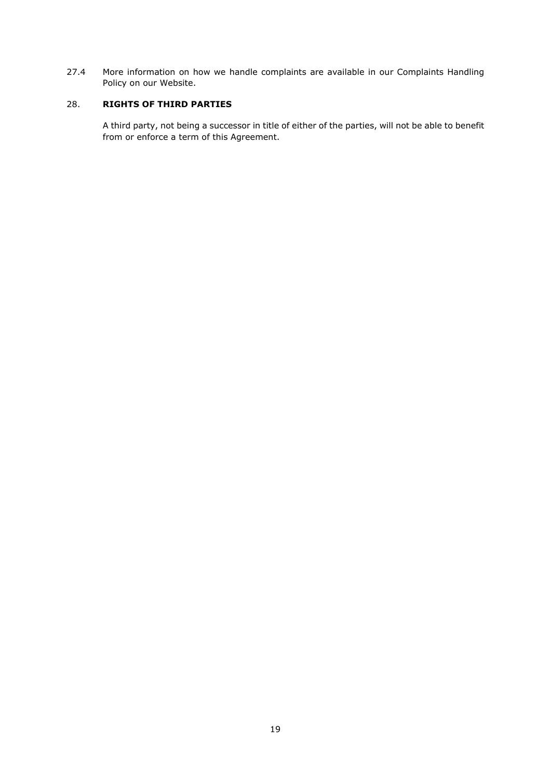27.4 More information on how we handle complaints are available in our Complaints Handling Policy on our Website.

## <span id="page-18-0"></span>28. **RIGHTS OF THIRD PARTIES**

A third party, not being a successor in title of either of the parties, will not be able to benefit from or enforce a term of this Agreement.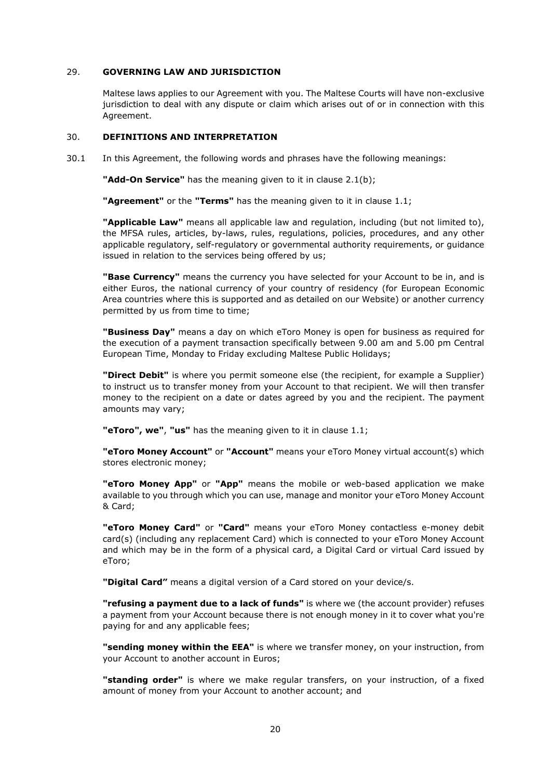## <span id="page-19-0"></span>29. **GOVERNING LAW AND JURISDICTION**

Maltese laws applies to our Agreement with you. The Maltese Courts will have non-exclusive jurisdiction to deal with any dispute or claim which arises out of or in connection with this Agreement.

### <span id="page-19-1"></span>30. **DEFINITIONS AND INTERPRETATION**

30.1 In this Agreement, the following words and phrases have the following meanings:

**"Add-On Service"** has the meaning given to it in clause [2.1\(b\);](#page-2-3)

**"Agreement"** or the **"Terms"** has the meaning given to it in clause [1.1;](#page-1-1)

**"Applicable Law"** means all applicable law and regulation, including (but not limited to), the MFSA rules, articles, by-laws, rules, regulations, policies, procedures, and any other applicable regulatory, self-regulatory or governmental authority requirements, or guidance issued in relation to the services being offered by us;

**"Base Currency"** means the currency you have selected for your Account to be in, and is either Euros, the national currency of your country of residency (for European Economic Area countries where this is supported and as detailed on our Website) or another currency permitted by us from time to time;

**"Business Day"** means a day on which eToro Money is open for business as required for the execution of a payment transaction specifically between 9.00 am and 5.00 pm Central European Time, Monday to Friday excluding Maltese Public Holidays;

**"Direct Debit"** is where you permit someone else (the recipient, for example a Supplier) to instruct us to transfer money from your Account to that recipient. We will then transfer money to the recipient on a date or dates agreed by you and the recipient. The payment amounts may vary;

**"eToro", we"**, **"us"** has the meaning given to it in clause [1.1;](#page-1-1)

**"eToro Money Account"** or **"Account"** means your eToro Money virtual account(s) which stores electronic money;

**"eToro Money App"** or **"App"** means the mobile or web-based application we make available to you through which you can use, manage and monitor your eToro Money Account & Card;

**"eToro Money Card"** or **"Card"** means your eToro Money contactless e-money debit card(s) (including any replacement Card) which is connected to your eToro Money Account and which may be in the form of a physical card, a Digital Card or virtual Card issued by eToro;

**"Digital Card"** means a digital version of a Card stored on your device/s.

**"refusing a payment due to a lack of funds"** is where we (the account provider) refuses a payment from your Account because there is not enough money in it to cover what you're paying for and any applicable fees;

**"sending money within the EEA"** is where we transfer money, on your instruction, from your Account to another account in Euros;

**"standing order"** is where we make regular transfers, on your instruction, of a fixed amount of money from your Account to another account; and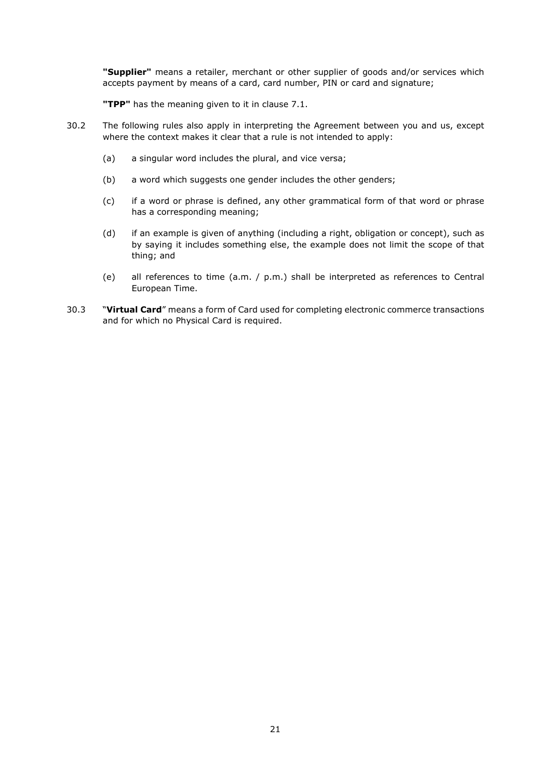**"Supplier"** means a retailer, merchant or other supplier of goods and/or services which accepts payment by means of a card, card number, PIN or card and signature;

**"TPP"** has the meaning given to it in clause [7.1.](#page-7-2)

- 30.2 The following rules also apply in interpreting the Agreement between you and us, except where the context makes it clear that a rule is not intended to apply:
	- (a) a singular word includes the plural, and vice versa;
	- (b) a word which suggests one gender includes the other genders;
	- (c) if a word or phrase is defined, any other grammatical form of that word or phrase has a corresponding meaning;
	- (d) if an example is given of anything (including a right, obligation or concept), such as by saying it includes something else, the example does not limit the scope of that thing; and
	- (e) all references to time (a.m. / p.m.) shall be interpreted as references to Central European Time.
- 30.3 "**Virtual Card**" means a form of Card used for completing electronic commerce transactions and for which no Physical Card is required.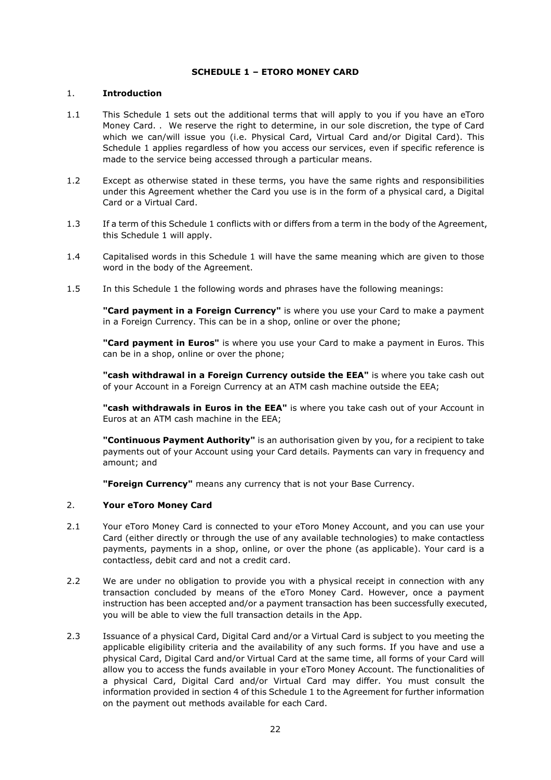## <span id="page-21-0"></span>**SCHEDULE 1 – ETORO MONEY CARD**

### 1. **Introduction**

- 1.1 This Schedule 1 sets out the additional terms that will apply to you if you have an eToro Money Card. . We reserve the right to determine, in our sole discretion, the type of Card which we can/will issue you (i.e. Physical Card, Virtual Card and/or Digital Card). This Schedule 1 applies regardless of how you access our services, even if specific reference is made to the service being accessed through a particular means.
- 1.2 Except as otherwise stated in these terms, you have the same rights and responsibilities under this Agreement whether the Card you use is in the form of a physical card, a Digital Card or a Virtual Card.
- 1.3 If a term of this Schedule 1 conflicts with or differs from a term in the body of the Agreement, this Schedule 1 will apply.
- 1.4 Capitalised words in this Schedule 1 will have the same meaning which are given to those word in the body of the Agreement.
- 1.5 In this Schedule 1 the following words and phrases have the following meanings:

**"Card payment in a Foreign Currency"** is where you use your Card to make a payment in a Foreign Currency. This can be in a shop, online or over the phone;

**"Card payment in Euros"** is where you use your Card to make a payment in Euros. This can be in a shop, online or over the phone;

**"cash withdrawal in a Foreign Currency outside the EEA"** is where you take cash out of your Account in a Foreign Currency at an ATM cash machine outside the EEA;

**"cash withdrawals in Euros in the EEA"** is where you take cash out of your Account in Euros at an ATM cash machine in the EEA;

**"Continuous Payment Authority"** is an authorisation given by you, for a recipient to take payments out of your Account using your Card details. Payments can vary in frequency and amount; and

**"Foreign Currency"** means any currency that is not your Base Currency.

## 2. **Your eToro Money Card**

- 2.1 Your eToro Money Card is connected to your eToro Money Account, and you can use your Card (either directly or through the use of any available technologies) to make contactless payments, payments in a shop, online, or over the phone (as applicable). Your card is a contactless, debit card and not a credit card.
- 2.2 We are under no obligation to provide you with a physical receipt in connection with any transaction concluded by means of the eToro Money Card. However, once a payment instruction has been accepted and/or a payment transaction has been successfully executed, you will be able to view the full transaction details in the App.
- 2.3 Issuance of a physical Card, Digital Card and/or a Virtual Card is subject to you meeting the applicable eligibility criteria and the availability of any such forms. If you have and use a physical Card, Digital Card and/or Virtual Card at the same time, all forms of your Card will allow you to access the funds available in your eToro Money Account. The functionalities of a physical Card, Digital Card and/or Virtual Card may differ. You must consult the information provided in section 4 of this Schedule 1 to the Agreement for further information on the payment out methods available for each Card.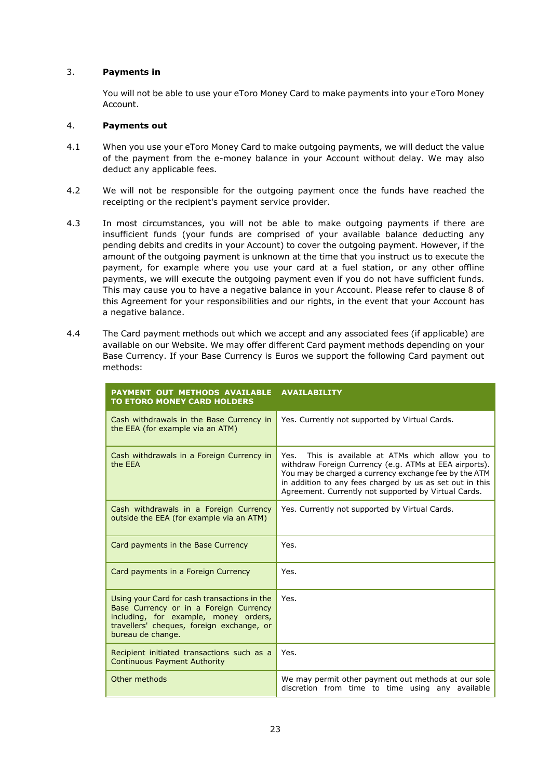## 3. **Payments in**

You will not be able to use your eToro Money Card to make payments into your eToro Money Account.

### 4. **Payments out**

- 4.1 When you use your eToro Money Card to make outgoing payments, we will deduct the value of the payment from the e-money balance in your Account without delay. We may also deduct any applicable fees.
- 4.2 We will not be responsible for the outgoing payment once the funds have reached the receipting or the recipient's payment service provider.
- 4.3 In most circumstances, you will not be able to make outgoing payments if there are insufficient funds (your funds are comprised of your available balance deducting any pending debits and credits in your Account) to cover the outgoing payment. However, if the amount of the outgoing payment is unknown at the time that you instruct us to execute the payment, for example where you use your card at a fuel station, or any other offline payments, we will execute the outgoing payment even if you do not have sufficient funds. This may cause you to have a negative balance in your Account. Please refer to clause [8](#page-7-1) of this Agreement for your responsibilities and our rights, in the event that your Account has a negative balance.
- 4.4 The Card payment methods out which we accept and any associated fees (if applicable) are available on our Website. We may offer different Card payment methods depending on your Base Currency. If your Base Currency is Euros we support the following Card payment out methods:

| PAYMENT OUT METHODS AVAILABLE<br><b>TO ETORO MONEY CARD HOLDERS</b>                                                                                                                               | <b>AVAILABILITY</b>                                                                                                                                                                                                                                                                         |
|---------------------------------------------------------------------------------------------------------------------------------------------------------------------------------------------------|---------------------------------------------------------------------------------------------------------------------------------------------------------------------------------------------------------------------------------------------------------------------------------------------|
| Cash withdrawals in the Base Currency in<br>the EEA (for example via an ATM)                                                                                                                      | Yes. Currently not supported by Virtual Cards.                                                                                                                                                                                                                                              |
| Cash withdrawals in a Foreign Currency in<br>the FFA                                                                                                                                              | Yes.<br>This is available at ATMs which allow you to<br>withdraw Foreign Currency (e.g. ATMs at EEA airports).<br>You may be charged a currency exchange fee by the ATM<br>in addition to any fees charged by us as set out in this<br>Agreement. Currently not supported by Virtual Cards. |
| Cash withdrawals in a Foreign Currency<br>outside the EEA (for example via an ATM)                                                                                                                | Yes. Currently not supported by Virtual Cards.                                                                                                                                                                                                                                              |
| Card payments in the Base Currency                                                                                                                                                                | Yes.                                                                                                                                                                                                                                                                                        |
| Card payments in a Foreign Currency                                                                                                                                                               | Yes.                                                                                                                                                                                                                                                                                        |
| Using your Card for cash transactions in the<br>Base Currency or in a Foreign Currency<br>including, for example, money orders,<br>travellers' cheques, foreign exchange, or<br>bureau de change. | Yes.                                                                                                                                                                                                                                                                                        |
| Recipient initiated transactions such as a<br><b>Continuous Payment Authority</b>                                                                                                                 | Yes.                                                                                                                                                                                                                                                                                        |
| Other methods                                                                                                                                                                                     | We may permit other payment out methods at our sole<br>discretion from time to time using any available                                                                                                                                                                                     |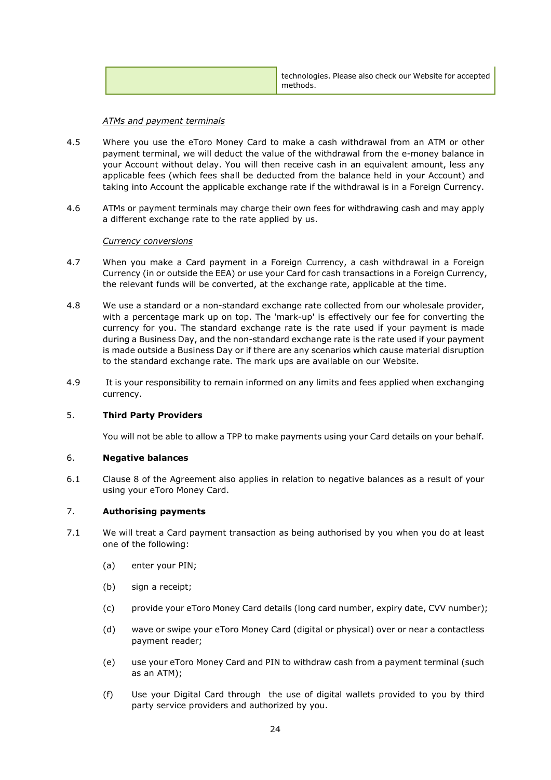|  | technologies. Please also check our Website for accepted<br>methods. |
|--|----------------------------------------------------------------------|
|--|----------------------------------------------------------------------|

### *ATMs and payment terminals*

- 4.5 Where you use the eToro Money Card to make a cash withdrawal from an ATM or other payment terminal, we will deduct the value of the withdrawal from the e-money balance in your Account without delay. You will then receive cash in an equivalent amount, less any applicable fees (which fees shall be deducted from the balance held in your Account) and taking into Account the applicable exchange rate if the withdrawal is in a Foreign Currency.
- 4.6 ATMs or payment terminals may charge their own fees for withdrawing cash and may apply a different exchange rate to the rate applied by us.

### *Currency conversions*

- 4.7 When you make a Card payment in a Foreign Currency, a cash withdrawal in a Foreign Currency (in or outside the EEA) or use your Card for cash transactions in a Foreign Currency, the relevant funds will be converted, at the exchange rate, applicable at the time.
- 4.8 We use a standard or a non-standard exchange rate collected from our wholesale provider, with a percentage mark up on top. The 'mark-up' is effectively our fee for converting the currency for you. The standard exchange rate is the rate used if your payment is made during a Business Day, and the non-standard exchange rate is the rate used if your payment is made outside a Business Day or if there are any scenarios which cause material disruption to the standard exchange rate. The mark ups are available on our Website.
- 4.9 It is your responsibility to remain informed on any limits and fees applied when exchanging currency.

### 5. **Third Party Providers**

You will not be able to allow a TPP to make payments using your Card details on your behalf.

### 6. **Negative balances**

6.1 Clause [8](#page-7-1) of the Agreement also applies in relation to negative balances as a result of your using your eToro Money Card.

# 7. **Authorising payments**

- 7.1 We will treat a Card payment transaction as being authorised by you when you do at least one of the following:
	- (a) enter your PIN;
	- (b) sign a receipt;
	- (c) provide your eToro Money Card details (long card number, expiry date, CVV number);
	- (d) wave or swipe your eToro Money Card (digital or physical) over or near a contactless payment reader;
	- (e) use your eToro Money Card and PIN to withdraw cash from a payment terminal (such as an ATM);
	- (f) Use your Digital Card through the use of digital wallets provided to you by third party service providers and authorized by you.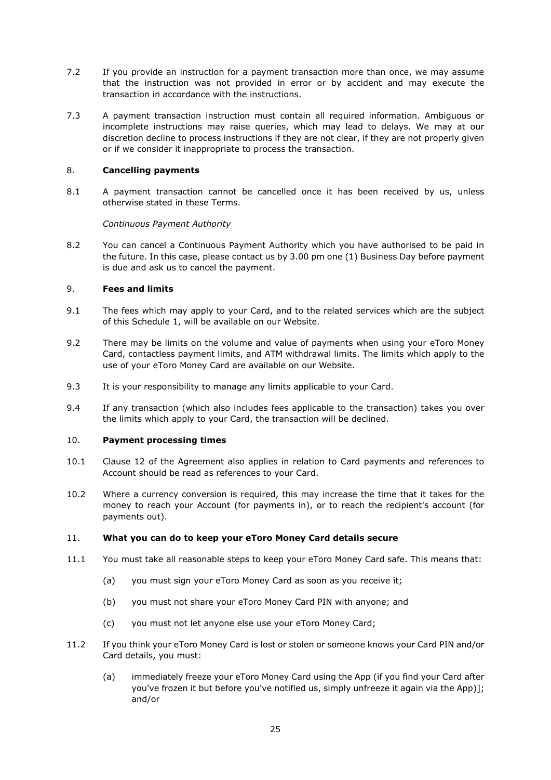- 7.2 If you provide an instruction for a payment transaction more than once, we may assume that the instruction was not provided in error or by accident and may execute the transaction in accordance with the instructions.
- 7.3 A payment transaction instruction must contain all required information. Ambiguous or incomplete instructions may raise queries, which may lead to delays. We may at our discretion decline to process instructions if they are not clear, if they are not properly given or if we consider it inappropriate to process the transaction.

## 8. **Cancelling payments**

8.1 A payment transaction cannot be cancelled once it has been received by us, unless otherwise stated in these Terms.

### *Continuous Payment Authority*

8.2 You can cancel a Continuous Payment Authority which you have authorised to be paid in the future. In this case, please contact us by 3.00 pm one (1) Business Day before payment is due and ask us to cancel the payment.

### 9. **Fees and limits**

- 9.1 The fees which may apply to your Card, and to the related services which are the subject of this Schedule 1, will be available on our Website.
- 9.2 There may be limits on the volume and value of payments when using your eToro Money Card, contactless payment limits, and ATM withdrawal limits. The limits which apply to the use of your eToro Money Card are available on our Website.
- 9.3 It is your responsibility to manage any limits applicable to your Card.
- 9.4 If any transaction (which also includes fees applicable to the transaction) takes you over the limits which apply to your Card, the transaction will be declined.

### 10. **Payment processing times**

- 10.1 Clause 12 of the Agreement also applies in relation to Card payments and references to Account should be read as references to your Card.
- 10.2 Where a currency conversion is required, this may increase the time that it takes for the money to reach your Account (for payments in), or to reach the recipient's account (for payments out).

### 11. **What you can do to keep your eToro Money Card details secure**

- 11.1 You must take all reasonable steps to keep your eToro Money Card safe. This means that:
	- (a) you must sign your eToro Money Card as soon as you receive it;
	- (b) you must not share your eToro Money Card PIN with anyone; and
	- (c) you must not let anyone else use your eToro Money Card;
- 11.2 If you think your eToro Money Card is lost or stolen or someone knows your Card PIN and/or Card details, you must:
	- (a) immediately freeze your eToro Money Card using the App (if you find your Card after you've frozen it but before you've notified us, simply unfreeze it again via the App)]; and/or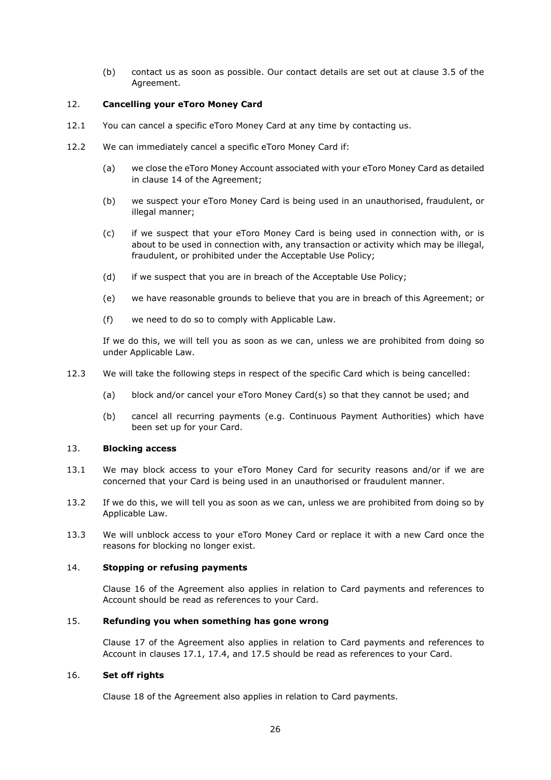(b) contact us as soon as possible. Our contact details are set out at clause 3.5 of the Agreement.

### <span id="page-25-0"></span>12. **Cancelling your eToro Money Card**

- 12.1 You can cancel a specific eToro Money Card at any time by contacting us.
- 12.2 We can immediately cancel a specific eToro Money Card if:
	- (a) we close the eToro Money Account associated with your eToro Money Card as detailed in clause 14 of the Agreement;
	- (b) we suspect your eToro Money Card is being used in an unauthorised, fraudulent, or illegal manner;
	- (c) if we suspect that your eToro Money Card is being used in connection with, or is about to be used in connection with, any transaction or activity which may be illegal, fraudulent, or prohibited under the Acceptable Use Policy;
	- (d) if we suspect that you are in breach of the Acceptable Use Policy;
	- (e) we have reasonable grounds to believe that you are in breach of this Agreement; or
	- (f) we need to do so to comply with Applicable Law.

If we do this, we will tell you as soon as we can, unless we are prohibited from doing so under Applicable Law.

- 12.3 We will take the following steps in respect of the specific Card which is being cancelled:
	- (a) block and/or cancel your eToro Money Card(s) so that they cannot be used; and
	- (b) cancel all recurring payments (e.g. Continuous Payment Authorities) which have been set up for your Card.

### 13. **Blocking access**

- 13.1 We may block access to your eToro Money Card for security reasons and/or if we are concerned that your Card is being used in an unauthorised or fraudulent manner.
- 13.2 If we do this, we will tell you as soon as we can, unless we are prohibited from doing so by Applicable Law.
- 13.3 We will unblock access to your eToro Money Card or replace it with a new Card once the reasons for blocking no longer exist.

### 14. **Stopping or refusing payments**

Clause 16 of the Agreement also applies in relation to Card payments and references to Account should be read as references to your Card.

### 15. **Refunding you when something has gone wrong**

Clause 17 of the Agreement also applies in relation to Card payments and references to Account in clauses 17.1, 17.4, and 17.5 should be read as references to your Card.

## 16. **Set off rights**

Clause 18 of the Agreement also applies in relation to Card payments.